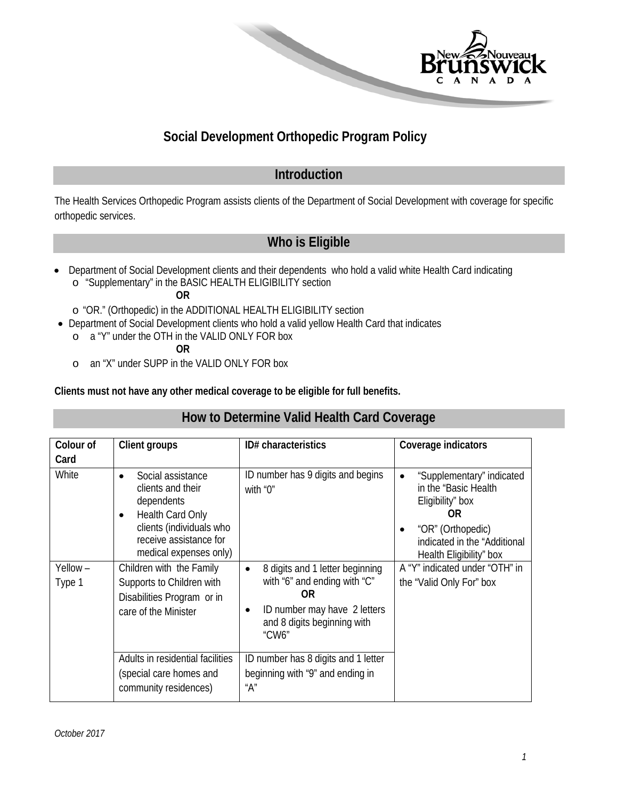

## **Social Development Orthopedic Program Policy**

## **Introduction**

The Health Services Orthopedic Program assists clients of the Department of Social Development with coverage for specific orthopedic services.

## **Who is Eligible**

• Department of Social Development clients and their dependents who hold a valid white Health Card indicating o "Supplementary" in the BASIC HEALTH ELIGIBILITY section

**OR**

- o "OR." (Orthopedic) in the ADDITIONAL HEALTH ELIGIBILITY section
- Department of Social Development clients who hold a valid yellow Health Card that indicates
	- o a "Y" under the OTH in the VALID ONLY FOR box

**OR** 

o an "X" under SUPP in the VALID ONLY FOR box

**Clients must not have any other medical coverage to be eligible for full benefits.** 

#### **How to Determine Valid Health Card Coverage**

| Colour of         | Client groups                                                                                               | ID# characteristics                                                                                                                                        | Coverage indicators                                                                        |
|-------------------|-------------------------------------------------------------------------------------------------------------|------------------------------------------------------------------------------------------------------------------------------------------------------------|--------------------------------------------------------------------------------------------|
| Card              |                                                                                                             |                                                                                                                                                            |                                                                                            |
| White             | Social assistance<br>$\bullet$<br>clients and their<br>dependents<br>Health Card Only<br>$\bullet$          | ID number has 9 digits and begins<br>with "0"                                                                                                              | "Supplementary" indicated<br>$\bullet$<br>in the "Basic Health"<br>Eligibility" box<br>0R. |
|                   | clients (individuals who<br>receive assistance for<br>medical expenses only)                                |                                                                                                                                                            | "OR" (Orthopedic)<br>indicated in the "Additional<br>Health Eligibility" box               |
| Yellow-<br>Type 1 | Children with the Family<br>Supports to Children with<br>Disabilities Program or in<br>care of the Minister | 8 digits and 1 letter beginning<br>$\bullet$<br>with "6" and ending with "C"<br>0R<br>ID number may have 2 letters<br>and 8 digits beginning with<br>"CW6" | A "Y" indicated under "OTH" in<br>the "Valid Only For" box                                 |
|                   | Adults in residential facilities<br>(special care homes and<br>community residences)                        | ID number has 8 digits and 1 letter<br>beginning with "9" and ending in<br>"A"                                                                             |                                                                                            |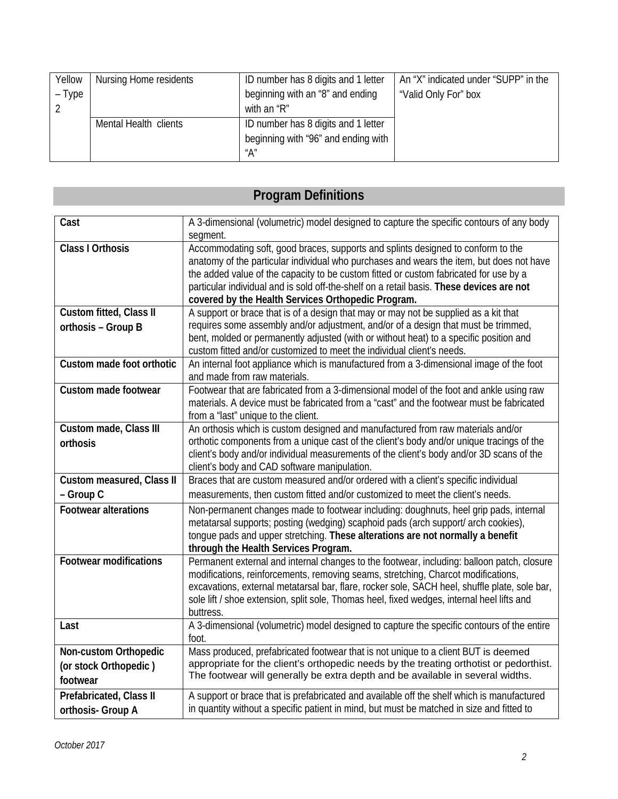| Yellow | Nursing Home residents | ID number has 8 digits and 1 letter | An "X" indicated under "SUPP" in the |
|--------|------------------------|-------------------------------------|--------------------------------------|
| – Type |                        | beginning with an "8" and ending    | "Valid Only For" box                 |
|        |                        | with an "R"                         |                                      |
|        | Mental Health clients  | ID number has 8 digits and 1 letter |                                      |
|        |                        | beginning with "96" and ending with |                                      |
|        |                        | "А"                                 |                                      |

# **Program Definitions**

| Cast                          | A 3-dimensional (volumetric) model designed to capture the specific contours of any body                |
|-------------------------------|---------------------------------------------------------------------------------------------------------|
|                               | segment.                                                                                                |
| <b>Class I Orthosis</b>       | Accommodating soft, good braces, supports and splints designed to conform to the                        |
|                               | anatomy of the particular individual who purchases and wears the item, but does not have                |
|                               | the added value of the capacity to be custom fitted or custom fabricated for use by a                   |
|                               | particular individual and is sold off-the-shelf on a retail basis. These devices are not                |
|                               | covered by the Health Services Orthopedic Program.                                                      |
| Custom fitted, Class II       | A support or brace that is of a design that may or may not be supplied as a kit that                    |
| orthosis - Group B            | requires some assembly and/or adjustment, and/or of a design that must be trimmed,                      |
|                               | bent, molded or permanently adjusted (with or without heat) to a specific position and                  |
|                               | custom fitted and/or customized to meet the individual client's needs.                                  |
| Custom made foot orthotic     | An internal foot appliance which is manufactured from a 3-dimensional image of the foot                 |
|                               | and made from raw materials.                                                                            |
| Custom made footwear          | Footwear that are fabricated from a 3-dimensional model of the foot and ankle using raw                 |
|                               | materials. A device must be fabricated from a "cast" and the footwear must be fabricated                |
|                               | from a "last" unique to the client.                                                                     |
| Custom made, Class III        | An orthosis which is custom designed and manufactured from raw materials and/or                         |
| orthosis                      | orthotic components from a unique cast of the client's body and/or unique tracings of the               |
|                               | client's body and/or individual measurements of the client's body and/or 3D scans of the                |
|                               | client's body and CAD software manipulation.                                                            |
| Custom measured, Class II     | Braces that are custom measured and/or ordered with a client's specific individual                      |
| - Group C                     | measurements, then custom fitted and/or customized to meet the client's needs.                          |
| <b>Footwear alterations</b>   | Non-permanent changes made to footwear including: doughnuts, heel grip pads, internal                   |
|                               | metatarsal supports; posting (wedging) scaphoid pads (arch support/ arch cookies),                      |
|                               | tongue pads and upper stretching. These alterations are not normally a benefit                          |
|                               | through the Health Services Program.                                                                    |
| <b>Footwear modifications</b> | Permanent external and internal changes to the footwear, including: balloon patch, closure              |
|                               | modifications, reinforcements, removing seams, stretching, Charcot modifications,                       |
|                               | excavations, external metatarsal bar, flare, rocker sole, SACH heel, shuffle plate, sole bar,           |
|                               | sole lift / shoe extension, split sole, Thomas heel, fixed wedges, internal heel lifts and              |
| Last                          | buttress.<br>A 3-dimensional (volumetric) model designed to capture the specific contours of the entire |
|                               | foot.                                                                                                   |
| Non-custom Orthopedic         | Mass produced, prefabricated footwear that is not unique to a client BUT is deemed                      |
| (or stock Orthopedic)         | appropriate for the client's orthopedic needs by the treating orthotist or pedorthist.                  |
| footwear                      | The footwear will generally be extra depth and be available in several widths.                          |
| Prefabricated, Class II       | A support or brace that is prefabricated and available off the shelf which is manufactured              |
| orthosis- Group A             | in quantity without a specific patient in mind, but must be matched in size and fitted to               |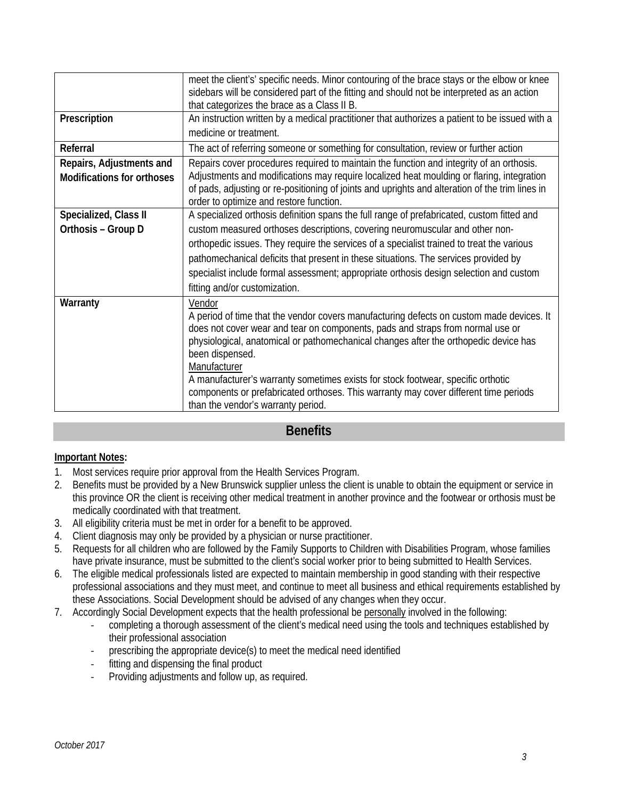|                                                               | meet the client's' specific needs. Minor contouring of the brace stays or the elbow or knee<br>sidebars will be considered part of the fitting and should not be interpreted as an action<br>that categorizes the brace as a Class II B.                                                                                                                                                                                                                                                                                          |
|---------------------------------------------------------------|-----------------------------------------------------------------------------------------------------------------------------------------------------------------------------------------------------------------------------------------------------------------------------------------------------------------------------------------------------------------------------------------------------------------------------------------------------------------------------------------------------------------------------------|
| Prescription                                                  | An instruction written by a medical practitioner that authorizes a patient to be issued with a<br>medicine or treatment.                                                                                                                                                                                                                                                                                                                                                                                                          |
| Referral                                                      | The act of referring someone or something for consultation, review or further action                                                                                                                                                                                                                                                                                                                                                                                                                                              |
| Repairs, Adjustments and<br><b>Modifications for orthoses</b> | Repairs cover procedures required to maintain the function and integrity of an orthosis.<br>Adjustments and modifications may require localized heat moulding or flaring, integration<br>of pads, adjusting or re-positioning of joints and uprights and alteration of the trim lines in<br>order to optimize and restore function.                                                                                                                                                                                               |
| Specialized, Class II                                         | A specialized orthosis definition spans the full range of prefabricated, custom fitted and                                                                                                                                                                                                                                                                                                                                                                                                                                        |
| Orthosis - Group D                                            | custom measured orthoses descriptions, covering neuromuscular and other non-                                                                                                                                                                                                                                                                                                                                                                                                                                                      |
|                                                               | orthopedic issues. They require the services of a specialist trained to treat the various<br>pathomechanical deficits that present in these situations. The services provided by                                                                                                                                                                                                                                                                                                                                                  |
|                                                               | specialist include formal assessment; appropriate orthosis design selection and custom<br>fitting and/or customization.                                                                                                                                                                                                                                                                                                                                                                                                           |
| Warranty                                                      | Vendor<br>A period of time that the vendor covers manufacturing defects on custom made devices. It<br>does not cover wear and tear on components, pads and straps from normal use or<br>physiological, anatomical or pathomechanical changes after the orthopedic device has<br>been dispensed.<br>Manufacturer<br>A manufacturer's warranty sometimes exists for stock footwear, specific orthotic<br>components or prefabricated orthoses. This warranty may cover different time periods<br>than the vendor's warranty period. |

#### **Benefits**

#### **Important Notes:**

- 1. Most services require prior approval from the Health Services Program.
- 2. Benefits must be provided by a New Brunswick supplier unless the client is unable to obtain the equipment or service in this province OR the client is receiving other medical treatment in another province and the footwear or orthosis must be medically coordinated with that treatment.
- 3. All eligibility criteria must be met in order for a benefit to be approved.
- 4. Client diagnosis may only be provided by a physician or nurse practitioner.
- 5. Requests for all children who are followed by the Family Supports to Children with Disabilities Program, whose families have private insurance, must be submitted to the client's social worker prior to being submitted to Health Services.
- 6. The eligible medical professionals listed are expected to maintain membership in good standing with their respective professional associations and they must meet, and continue to meet all business and ethical requirements established by these Associations. Social Development should be advised of any changes when they occur.
- 7. Accordingly Social Development expects that the health professional be personally involved in the following:
	- completing a thorough assessment of the client's medical need using the tools and techniques established by their professional association
	- prescribing the appropriate device(s) to meet the medical need identified
	- fitting and dispensing the final product
	- Providing adjustments and follow up, as required.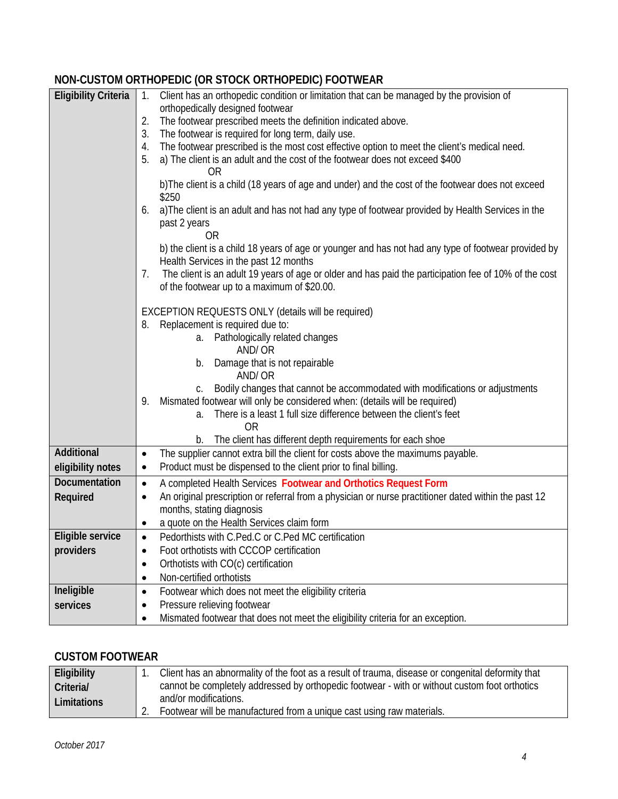#### **NON-CUSTOM ORTHOPEDIC (OR STOCK ORTHOPEDIC) FOOTWEAR**

| <b>Eligibility Criteria</b> | Client has an orthopedic condition or limitation that can be managed by the provision of<br>$1_{\cdot}$                                                    |
|-----------------------------|------------------------------------------------------------------------------------------------------------------------------------------------------------|
|                             | orthopedically designed footwear                                                                                                                           |
|                             | The footwear prescribed meets the definition indicated above.<br>2.                                                                                        |
|                             | The footwear is required for long term, daily use.<br>3.                                                                                                   |
|                             | The footwear prescribed is the most cost effective option to meet the client's medical need.<br>4.                                                         |
|                             | a) The client is an adult and the cost of the footwear does not exceed \$400<br>5.<br><b>OR</b>                                                            |
|                             | b) The client is a child (18 years of age and under) and the cost of the footwear does not exceed<br>\$250                                                 |
|                             | a) The client is an adult and has not had any type of footwear provided by Health Services in the<br>6.<br>past 2 years<br>0R                              |
|                             | b) the client is a child 18 years of age or younger and has not had any type of footwear provided by<br>Health Services in the past 12 months              |
|                             | The client is an adult 19 years of age or older and has paid the participation fee of 10% of the cost<br>7.<br>of the footwear up to a maximum of \$20.00. |
|                             | EXCEPTION REQUESTS ONLY (details will be required)                                                                                                         |
|                             | 8. Replacement is required due to:                                                                                                                         |
|                             | a. Pathologically related changes                                                                                                                          |
|                             | AND/OR                                                                                                                                                     |
|                             | b. Damage that is not repairable<br>AND/OR                                                                                                                 |
|                             | Bodily changes that cannot be accommodated with modifications or adjustments<br>C.                                                                         |
|                             | Mismated footwear will only be considered when: (details will be required)<br>9.                                                                           |
|                             | a. There is a least 1 full size difference between the client's feet                                                                                       |
|                             | <b>OR</b>                                                                                                                                                  |
|                             | The client has different depth requirements for each shoe<br>b.                                                                                            |
| Additional                  | The supplier cannot extra bill the client for costs above the maximums payable.                                                                            |
| eligibility notes           | Product must be dispensed to the client prior to final billing.<br>٠                                                                                       |
| Documentation               | A completed Health Services Footwear and Orthotics Request Form<br>$\bullet$                                                                               |
| Required                    | An original prescription or referral from a physician or nurse practitioner dated within the past 12                                                       |
|                             | months, stating diagnosis                                                                                                                                  |
|                             | a quote on the Health Services claim form                                                                                                                  |
| Eligible service            | Pedorthists with C.Ped.C or C.Ped MC certification                                                                                                         |
| providers                   | Foot orthotists with CCCOP certification<br>$\bullet$                                                                                                      |
|                             | Orthotists with CO(c) certification<br>$\bullet$                                                                                                           |
|                             | Non-certified orthotists<br>$\bullet$                                                                                                                      |
| Ineligible                  | Footwear which does not meet the eligibility criteria<br>$\bullet$                                                                                         |
| services                    | Pressure relieving footwear                                                                                                                                |
|                             | Mismated footwear that does not meet the eligibility criteria for an exception.                                                                            |
|                             |                                                                                                                                                            |

#### **CUSTOM FOOTWEAR**

| Eligibility        | Client has an abnormality of the foot as a result of trauma, disease or congenital deformity that |  |
|--------------------|---------------------------------------------------------------------------------------------------|--|
| Criteria/          | cannot be completely addressed by orthopedic footwear - with or without custom foot orthotics     |  |
| <b>Limitations</b> | and/or modifications.                                                                             |  |
|                    | Footwear will be manufactured from a unique cast using raw materials.                             |  |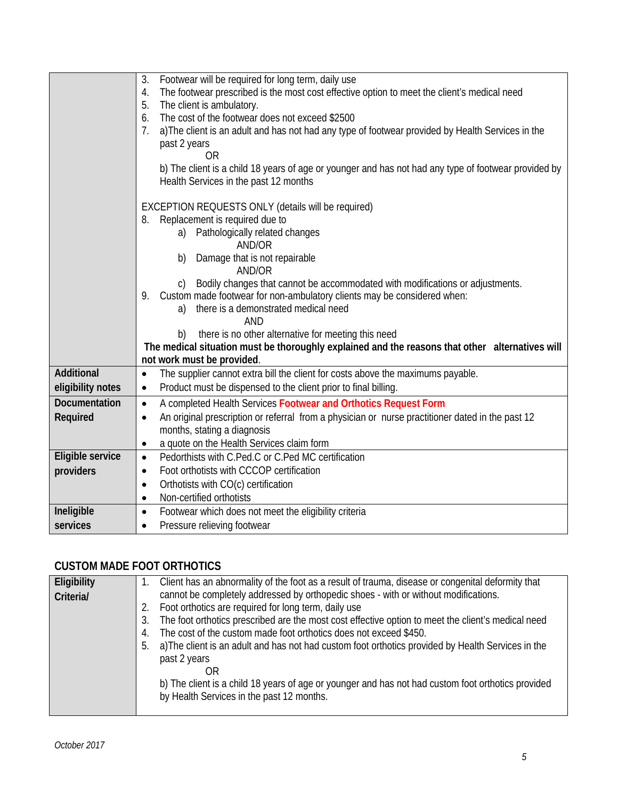|                      | 3.<br>Footwear will be required for long term, daily use                                                      |  |
|----------------------|---------------------------------------------------------------------------------------------------------------|--|
|                      | The footwear prescribed is the most cost effective option to meet the client's medical need<br>4.             |  |
|                      | The client is ambulatory.<br>5.                                                                               |  |
|                      | The cost of the footwear does not exceed \$2500<br>6.                                                         |  |
|                      | a) The client is an adult and has not had any type of footwear provided by Health Services in the<br>7.       |  |
|                      | past 2 years                                                                                                  |  |
|                      | 0R                                                                                                            |  |
|                      | b) The client is a child 18 years of age or younger and has not had any type of footwear provided by          |  |
|                      | Health Services in the past 12 months                                                                         |  |
|                      | EXCEPTION REQUESTS ONLY (details will be required)                                                            |  |
|                      | Replacement is required due to<br>8.                                                                          |  |
|                      | Pathologically related changes<br>a)                                                                          |  |
|                      | AND/OR                                                                                                        |  |
|                      | Damage that is not repairable<br>b)                                                                           |  |
|                      | AND/OR<br>Bodily changes that cannot be accommodated with modifications or adjustments.                       |  |
|                      | C)<br>9. Custom made footwear for non-ambulatory clients may be considered when:                              |  |
|                      | there is a demonstrated medical need<br>a)                                                                    |  |
|                      | <b>AND</b>                                                                                                    |  |
|                      | there is no other alternative for meeting this need<br>b)                                                     |  |
|                      | The medical situation must be thoroughly explained and the reasons that other alternatives will               |  |
|                      | not work must be provided.                                                                                    |  |
| Additional           | The supplier cannot extra bill the client for costs above the maximums payable.<br>$\bullet$                  |  |
| eligibility notes    | Product must be dispensed to the client prior to final billing.<br>$\bullet$                                  |  |
| <b>Documentation</b> | A completed Health Services Footwear and Orthotics Request Form<br>$\bullet$                                  |  |
| Required             | An original prescription or referral from a physician or nurse practitioner dated in the past 12<br>$\bullet$ |  |
|                      | months, stating a diagnosis                                                                                   |  |
|                      | a quote on the Health Services claim form<br>$\bullet$                                                        |  |
| Eligible service     | Pedorthists with C.Ped.C or C.Ped MC certification<br>$\bullet$                                               |  |
| providers            | Foot orthotists with CCCOP certification<br>$\bullet$                                                         |  |
|                      | Orthotists with CO(c) certification<br>$\bullet$                                                              |  |
|                      | Non-certified orthotists<br>$\bullet$                                                                         |  |
| Ineligible           | Footwear which does not meet the eligibility criteria<br>$\bullet$                                            |  |
| services             | Pressure relieving footwear                                                                                   |  |

### **CUSTOM MADE FOOT ORTHOTICS**

| Eligibility | Client has an abnormality of the foot as a result of trauma, disease or congenital deformity that                                                                                                                                                                                                                                                                                                                                                                                                                                                                                                                             |
|-------------|-------------------------------------------------------------------------------------------------------------------------------------------------------------------------------------------------------------------------------------------------------------------------------------------------------------------------------------------------------------------------------------------------------------------------------------------------------------------------------------------------------------------------------------------------------------------------------------------------------------------------------|
| Criteria/   | cannot be completely addressed by orthopedic shoes - with or without modifications.<br>Foot orthotics are required for long term, daily use<br>2.<br>The foot orthotics prescribed are the most cost effective option to meet the client's medical need<br>3.<br>The cost of the custom made foot orthotics does not exceed \$450.<br>4.<br>a) The client is an adult and has not had custom foot orthotics provided by Health Services in the<br>5.<br>past 2 years<br>OR<br>b) The client is a child 18 years of age or younger and has not had custom foot orthotics provided<br>by Health Services in the past 12 months. |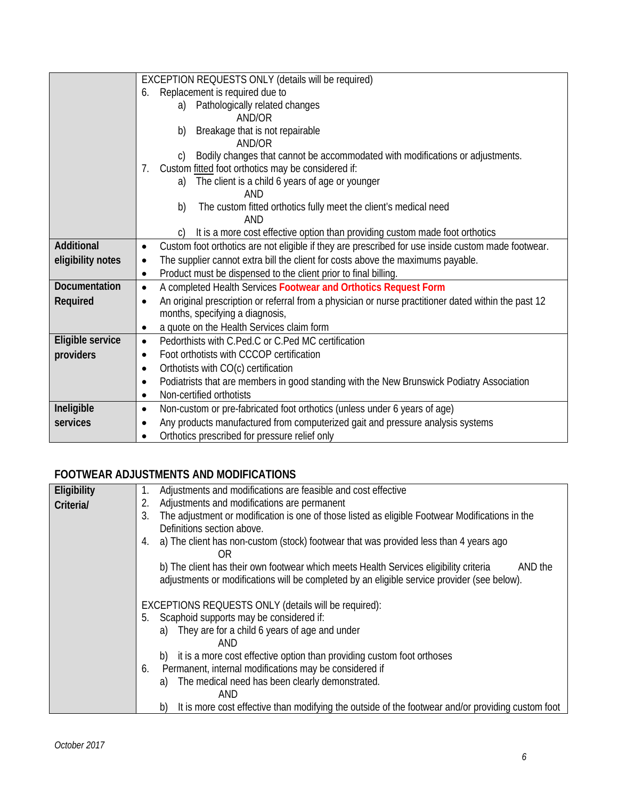|                      | EXCEPTION REQUESTS ONLY (details will be required)                                                   |
|----------------------|------------------------------------------------------------------------------------------------------|
|                      | Replacement is required due to<br>6.                                                                 |
|                      | a) Pathologically related changes                                                                    |
|                      | AND/OR                                                                                               |
|                      | Breakage that is not repairable<br>b)                                                                |
|                      | AND/OR                                                                                               |
|                      | Bodily changes that cannot be accommodated with modifications or adjustments.                        |
|                      | Custom fitted foot orthotics may be considered if:<br>7.                                             |
|                      | The client is a child 6 years of age or younger<br>a)                                                |
|                      | AND                                                                                                  |
|                      | The custom fitted orthotics fully meet the client's medical need<br>b)                               |
|                      | AND                                                                                                  |
|                      | It is a more cost effective option than providing custom made foot orthotics<br>C)                   |
| Additional           | Custom foot orthotics are not eligible if they are prescribed for use inside custom made footwear.   |
| eligibility notes    | The supplier cannot extra bill the client for costs above the maximums payable.                      |
|                      | Product must be dispensed to the client prior to final billing.<br>$\bullet$                         |
| <b>Documentation</b> | A completed Health Services Footwear and Orthotics Request Form<br>$\bullet$                         |
| Required             | An original prescription or referral from a physician or nurse practitioner dated within the past 12 |
|                      | months, specifying a diagnosis,                                                                      |
|                      | a quote on the Health Services claim form<br>$\bullet$                                               |
| Eligible service     | Pedorthists with C.Ped.C or C.Ped MC certification<br>$\bullet$                                      |
| providers            | Foot orthotists with CCCOP certification                                                             |
|                      | Orthotists with CO(c) certification<br>٠                                                             |
|                      | Podiatrists that are members in good standing with the New Brunswick Podiatry Association<br>٠       |
|                      | Non-certified orthotists                                                                             |
| Ineligible           | Non-custom or pre-fabricated foot orthotics (unless under 6 years of age)<br>٠                       |
| services             | Any products manufactured from computerized gait and pressure analysis systems                       |
|                      | Orthotics prescribed for pressure relief only                                                        |

### **FOOTWEAR ADJUSTMENTS AND MODIFICATIONS**

| Eligibility | Adjustments and modifications are feasible and cost effective<br>1.                                                                                                                             |  |
|-------------|-------------------------------------------------------------------------------------------------------------------------------------------------------------------------------------------------|--|
| Criteria/   | Adjustments and modifications are permanent<br>2.                                                                                                                                               |  |
|             | The adjustment or modification is one of those listed as eligible Footwear Modifications in the<br>3.                                                                                           |  |
|             | Definitions section above.                                                                                                                                                                      |  |
|             | a) The client has non-custom (stock) footwear that was provided less than 4 years ago<br>4.<br>ΟR                                                                                               |  |
|             | b) The client has their own footwear which meets Health Services eligibility criteria<br>AND the<br>adjustments or modifications will be completed by an eligible service provider (see below). |  |
|             | EXCEPTIONS REQUESTS ONLY (details will be required):                                                                                                                                            |  |
|             | Scaphoid supports may be considered if:<br>5.                                                                                                                                                   |  |
|             | They are for a child 6 years of age and under<br>a)                                                                                                                                             |  |
|             | AND                                                                                                                                                                                             |  |
|             | it is a more cost effective option than providing custom foot orthoses<br>b)                                                                                                                    |  |
|             | Permanent, internal modifications may be considered if<br>6.                                                                                                                                    |  |
|             | The medical need has been clearly demonstrated.<br>a)                                                                                                                                           |  |
|             | AND                                                                                                                                                                                             |  |
|             | It is more cost effective than modifying the outside of the footwear and/or providing custom foot<br>b)                                                                                         |  |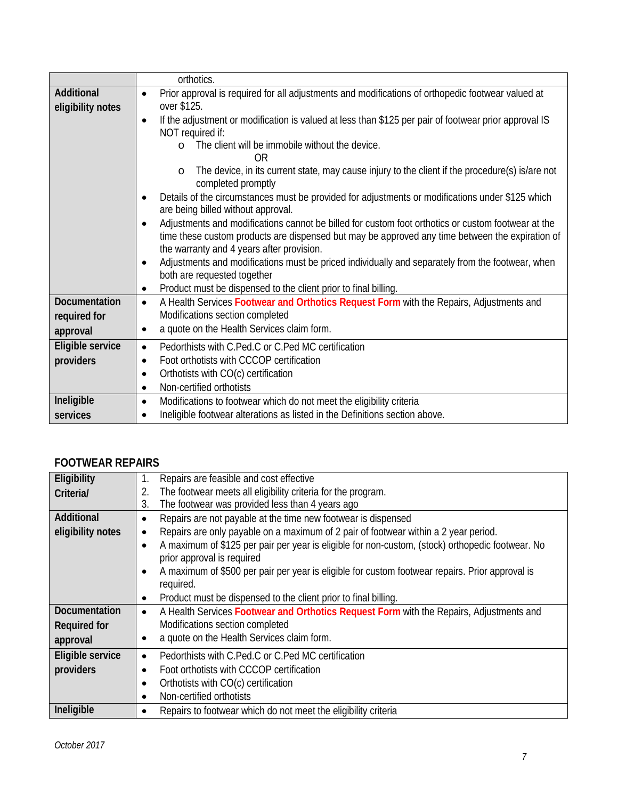|                      | orthotics.                                                                                                                                                                                                                                                      |
|----------------------|-----------------------------------------------------------------------------------------------------------------------------------------------------------------------------------------------------------------------------------------------------------------|
| Additional           | Prior approval is required for all adjustments and modifications of orthopedic footwear valued at<br>$\bullet$                                                                                                                                                  |
| eligibility notes    | over \$125.                                                                                                                                                                                                                                                     |
|                      | If the adjustment or modification is valued at less than \$125 per pair of footwear prior approval IS<br>$\bullet$                                                                                                                                              |
|                      | NOT required if:                                                                                                                                                                                                                                                |
|                      | The client will be immobile without the device.<br>$\Omega$<br>0R                                                                                                                                                                                               |
|                      | The device, in its current state, may cause injury to the client if the procedure(s) is/are not<br>$\circ$<br>completed promptly                                                                                                                                |
|                      | Details of the circumstances must be provided for adjustments or modifications under \$125 which<br>are being billed without approval.                                                                                                                          |
|                      | Adjustments and modifications cannot be billed for custom foot orthotics or custom footwear at the<br>$\bullet$<br>time these custom products are dispensed but may be approved any time between the expiration of<br>the warranty and 4 years after provision. |
|                      | Adjustments and modifications must be priced individually and separately from the footwear, when<br>$\bullet$<br>both are requested together                                                                                                                    |
|                      | Product must be dispensed to the client prior to final billing.<br>٠                                                                                                                                                                                            |
| <b>Documentation</b> | A Health Services Footwear and Orthotics Request Form with the Repairs, Adjustments and<br>$\bullet$                                                                                                                                                            |
| required for         | Modifications section completed                                                                                                                                                                                                                                 |
| approval             | a quote on the Health Services claim form.<br>$\bullet$                                                                                                                                                                                                         |
| Eligible service     | Pedorthists with C.Ped.C or C.Ped MC certification<br>$\bullet$                                                                                                                                                                                                 |
| providers            | Foot orthotists with CCCOP certification                                                                                                                                                                                                                        |
|                      | Orthotists with CO(c) certification<br>$\bullet$                                                                                                                                                                                                                |
|                      | Non-certified orthotists<br>$\bullet$                                                                                                                                                                                                                           |
| Ineligible           | Modifications to footwear which do not meet the eligibility criteria<br>$\bullet$                                                                                                                                                                               |
| services             | Ineligible footwear alterations as listed in the Definitions section above.                                                                                                                                                                                     |

#### **FOOTWEAR REPAIRS**

| Eligibility          | Repairs are feasible and cost effective                                                                       |
|----------------------|---------------------------------------------------------------------------------------------------------------|
| Criteria/            | The footwear meets all eligibility criteria for the program.<br>2.                                            |
|                      | The footwear was provided less than 4 years ago<br>3.                                                         |
| Additional           | Repairs are not payable at the time new footwear is dispensed<br>$\bullet$                                    |
| eligibility notes    | Repairs are only payable on a maximum of 2 pair of footwear within a 2 year period.<br>٠                      |
|                      | A maximum of \$125 per pair per year is eligible for non-custom, (stock) orthopedic footwear. No<br>$\bullet$ |
|                      | prior approval is required                                                                                    |
|                      | A maximum of \$500 per pair per year is eligible for custom footwear repairs. Prior approval is<br>$\bullet$  |
|                      | required.                                                                                                     |
|                      | Product must be dispensed to the client prior to final billing.<br>٠                                          |
| <b>Documentation</b> | A Health Services Footwear and Orthotics Request Form with the Repairs, Adjustments and<br>$\bullet$          |
| <b>Required for</b>  | Modifications section completed                                                                               |
| approval             | a quote on the Health Services claim form.<br>$\bullet$                                                       |
| Eligible service     | Pedorthists with C.Ped.C or C.Ped MC certification<br>$\bullet$                                               |
| providers            | Foot orthotists with CCCOP certification<br>$\bullet$                                                         |
|                      | Orthotists with CO(c) certification<br>$\bullet$                                                              |
|                      | Non-certified orthotists                                                                                      |
| Ineligible           | Repairs to footwear which do not meet the eligibility criteria<br>$\bullet$                                   |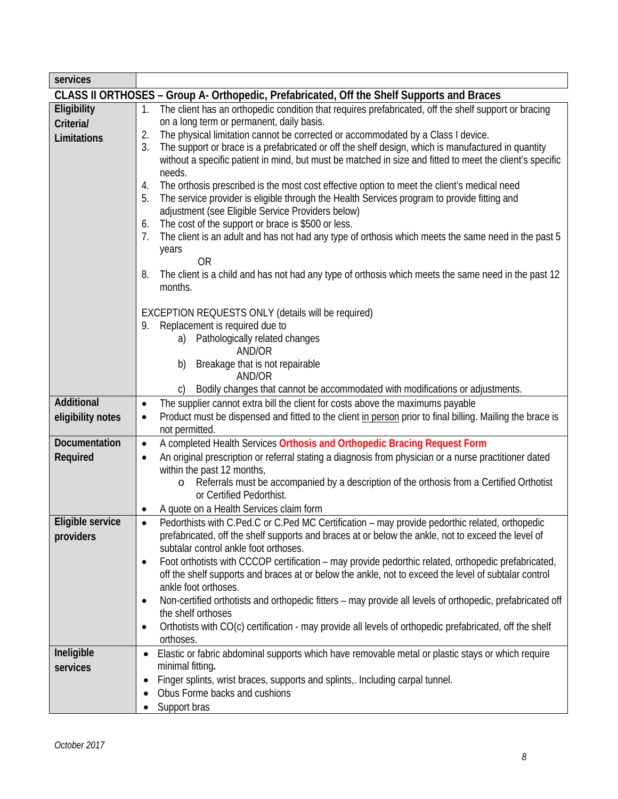| services          |                                                                                                                                                        |
|-------------------|--------------------------------------------------------------------------------------------------------------------------------------------------------|
|                   | CLASS II ORTHOSES – Group A- Orthopedic, Prefabricated, Off the Shelf Supports and Braces                                                              |
| Eligibility       | The client has an orthopedic condition that requires prefabricated, off the shelf support or bracing<br>1.                                             |
| Criteria/         | on a long term or permanent, daily basis.                                                                                                              |
| Limitations       | The physical limitation cannot be corrected or accommodated by a Class I device.<br>2.                                                                 |
|                   | 3.<br>The support or brace is a prefabricated or off the shelf design, which is manufactured in quantity                                               |
|                   | without a specific patient in mind, but must be matched in size and fitted to meet the client's specific                                               |
|                   | needs.<br>The orthosis prescribed is the most cost effective option to meet the client's medical need<br>4.                                            |
|                   | The service provider is eligible through the Health Services program to provide fitting and<br>5.                                                      |
|                   | adjustment (see Eligible Service Providers below)                                                                                                      |
|                   | The cost of the support or brace is \$500 or less.<br>6.                                                                                               |
|                   | The client is an adult and has not had any type of orthosis which meets the same need in the past 5<br>7.                                              |
|                   | years                                                                                                                                                  |
|                   | <b>OR</b>                                                                                                                                              |
|                   | The client is a child and has not had any type of orthosis which meets the same need in the past 12<br>8.                                              |
|                   | months.                                                                                                                                                |
|                   | EXCEPTION REQUESTS ONLY (details will be required)                                                                                                     |
|                   | Replacement is required due to<br>9.                                                                                                                   |
|                   | a) Pathologically related changes                                                                                                                      |
|                   | AND/OR                                                                                                                                                 |
|                   | Breakage that is not repairable<br>b)<br>AND/OR                                                                                                        |
|                   | Bodily changes that cannot be accommodated with modifications or adjustments.                                                                          |
| Additional        | The supplier cannot extra bill the client for costs above the maximums payable<br>$\bullet$                                                            |
| eligibility notes | Product must be dispensed and fitted to the client in person prior to final billing. Mailing the brace is<br>$\bullet$                                 |
|                   | not permitted.                                                                                                                                         |
| Documentation     | A completed Health Services Orthosis and Orthopedic Bracing Request Form<br>$\bullet$                                                                  |
| Required          | An original prescription or referral stating a diagnosis from physician or a nurse practitioner dated                                                  |
|                   | within the past 12 months,                                                                                                                             |
|                   | Referrals must be accompanied by a description of the orthosis from a Certified Orthotist<br>$\circ$                                                   |
|                   | or Certified Pedorthist.                                                                                                                               |
| Eligible service  | A quote on a Health Services claim form<br>Pedorthists with C.Ped.C or C.Ped MC Certification – may provide pedorthic related, orthopedic<br>$\bullet$ |
| providers         | prefabricated, off the shelf supports and braces at or below the ankle, not to exceed the level of                                                     |
|                   | subtalar control ankle foot orthoses.                                                                                                                  |
|                   | Foot orthotists with CCCOP certification - may provide pedorthic related, orthopedic prefabricated,<br>$\bullet$                                       |
|                   | off the shelf supports and braces at or below the ankle, not to exceed the level of subtalar control                                                   |
|                   | ankle foot orthoses.                                                                                                                                   |
|                   | Non-certified orthotists and orthopedic fitters - may provide all levels of orthopedic, prefabricated off<br>٠                                         |
|                   | the shelf orthoses                                                                                                                                     |
|                   | Orthotists with CO(c) certification - may provide all levels of orthopedic prefabricated, off the shelf<br>٠<br>orthoses.                              |
| Ineligible        | Elastic or fabric abdominal supports which have removable metal or plastic stays or which require                                                      |
| services          | minimal fitting.                                                                                                                                       |
|                   | Finger splints, wrist braces, supports and splints, Including carpal tunnel.                                                                           |
|                   | Obus Forme backs and cushions                                                                                                                          |
|                   | Support bras                                                                                                                                           |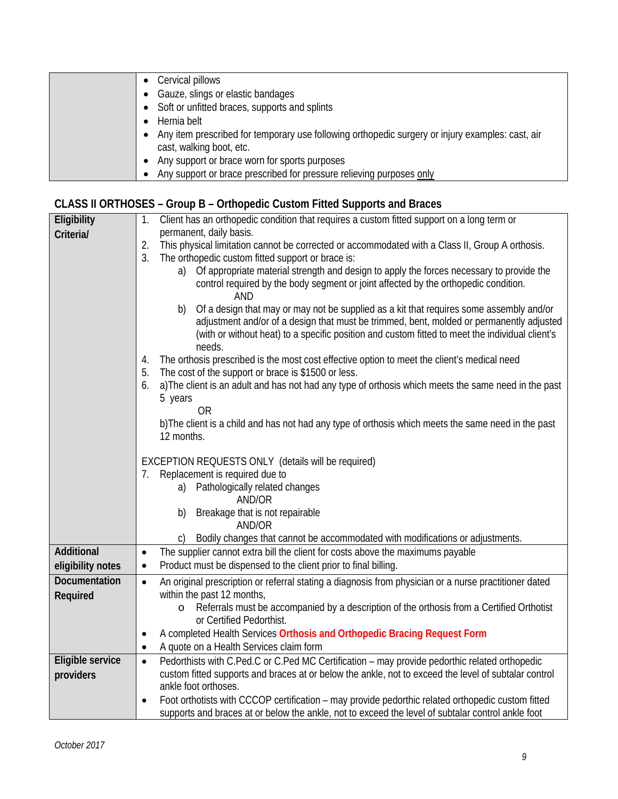| Cervical pillows                                                                                 |
|--------------------------------------------------------------------------------------------------|
| Gauze, slings or elastic bandages                                                                |
| • Soft or unfitted braces, supports and splints                                                  |
| Hernia belt                                                                                      |
| Any item prescribed for temporary use following orthopedic surgery or injury examples: cast, air |
| cast, walking boot, etc.                                                                         |
| Any support or brace worn for sports purposes                                                    |
| Any support or brace prescribed for pressure relieving purposes only                             |

# **CLASS II ORTHOSES – Group B – Orthopedic Custom Fitted Supports and Braces**

| Eligibility          | Client has an orthopedic condition that requires a custom fitted support on a long term or<br>1.                                                                                                                                                                                                       |
|----------------------|--------------------------------------------------------------------------------------------------------------------------------------------------------------------------------------------------------------------------------------------------------------------------------------------------------|
| Criteria/            | permanent, daily basis.                                                                                                                                                                                                                                                                                |
|                      | 2.<br>This physical limitation cannot be corrected or accommodated with a Class II, Group A orthosis.                                                                                                                                                                                                  |
|                      | 3.<br>The orthopedic custom fitted support or brace is:                                                                                                                                                                                                                                                |
|                      | a) Of appropriate material strength and design to apply the forces necessary to provide the                                                                                                                                                                                                            |
|                      | control required by the body segment or joint affected by the orthopedic condition.<br><b>AND</b>                                                                                                                                                                                                      |
|                      | Of a design that may or may not be supplied as a kit that requires some assembly and/or<br>b)<br>adjustment and/or of a design that must be trimmed, bent, molded or permanently adjusted<br>(with or without heat) to a specific position and custom fitted to meet the individual client's<br>needs. |
|                      | The orthosis prescribed is the most cost effective option to meet the client's medical need<br>4.<br>The cost of the support or brace is \$1500 or less.<br>5.                                                                                                                                         |
|                      | a) The client is an adult and has not had any type of orthosis which meets the same need in the past<br>6.                                                                                                                                                                                             |
|                      | 5 years                                                                                                                                                                                                                                                                                                |
|                      | 0R                                                                                                                                                                                                                                                                                                     |
|                      | b) The client is a child and has not had any type of orthosis which meets the same need in the past<br>12 months.                                                                                                                                                                                      |
|                      | EXCEPTION REQUESTS ONLY (details will be required)                                                                                                                                                                                                                                                     |
|                      | 7. Replacement is required due to                                                                                                                                                                                                                                                                      |
|                      | a) Pathologically related changes                                                                                                                                                                                                                                                                      |
|                      | AND/OR                                                                                                                                                                                                                                                                                                 |
|                      | Breakage that is not repairable<br>b)                                                                                                                                                                                                                                                                  |
|                      | AND/OR                                                                                                                                                                                                                                                                                                 |
|                      | Bodily changes that cannot be accommodated with modifications or adjustments.<br>$\mathsf{C}$                                                                                                                                                                                                          |
| <b>Additional</b>    | The supplier cannot extra bill the client for costs above the maximums payable<br>$\bullet$                                                                                                                                                                                                            |
| eligibility notes    | Product must be dispensed to the client prior to final billing.<br>$\bullet$                                                                                                                                                                                                                           |
| <b>Documentation</b> | An original prescription or referral stating a diagnosis from physician or a nurse practitioner dated<br>$\bullet$                                                                                                                                                                                     |
| Required             | within the past 12 months,                                                                                                                                                                                                                                                                             |
|                      | Referrals must be accompanied by a description of the orthosis from a Certified Orthotist<br>$\circ$                                                                                                                                                                                                   |
|                      | or Certified Pedorthist.                                                                                                                                                                                                                                                                               |
|                      | A completed Health Services Orthosis and Orthopedic Bracing Request Form<br>٠                                                                                                                                                                                                                          |
|                      | A quote on a Health Services claim form<br>$\bullet$                                                                                                                                                                                                                                                   |
| Eligible service     | Pedorthists with C.Ped.C or C.Ped MC Certification - may provide pedorthic related orthopedic<br>$\bullet$                                                                                                                                                                                             |
| providers            | custom fitted supports and braces at or below the ankle, not to exceed the level of subtalar control                                                                                                                                                                                                   |
|                      | ankle foot orthoses.                                                                                                                                                                                                                                                                                   |
|                      | Foot orthotists with CCCOP certification - may provide pedorthic related orthopedic custom fitted                                                                                                                                                                                                      |
|                      | supports and braces at or below the ankle, not to exceed the level of subtalar control ankle foot                                                                                                                                                                                                      |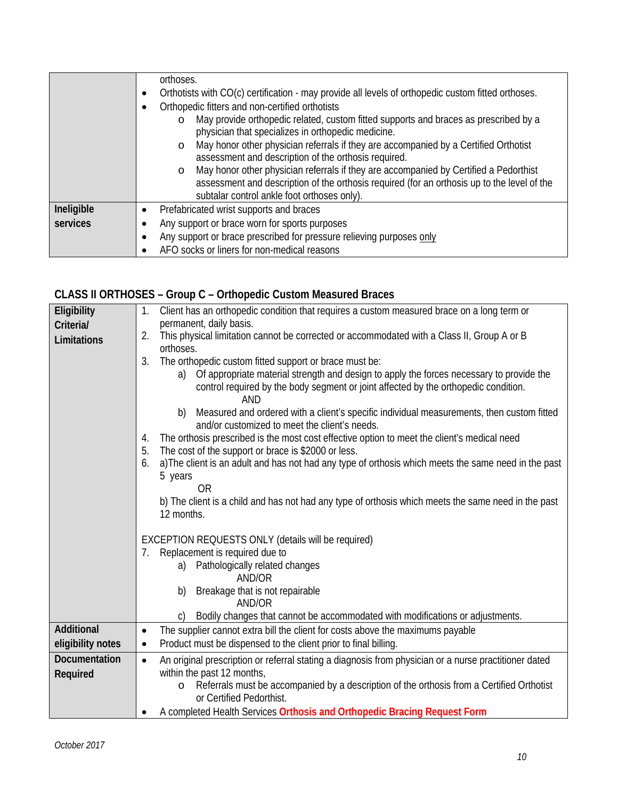|            | orthoses.                                                                                          |
|------------|----------------------------------------------------------------------------------------------------|
|            | Orthotists with CO(c) certification - may provide all levels of orthopedic custom fitted orthoses. |
|            | Orthopedic fitters and non-certified orthotists                                                    |
|            | May provide orthopedic related, custom fitted supports and braces as prescribed by a<br>$\circ$    |
|            | physician that specializes in orthopedic medicine.                                                 |
|            | May honor other physician referrals if they are accompanied by a Certified Orthotist<br>$\circ$    |
|            | assessment and description of the orthosis required.                                               |
|            | May honor other physician referrals if they are accompanied by Certified a Pedorthist<br>$\circ$   |
|            | assessment and description of the orthosis required (for an orthosis up to the level of the        |
|            | subtalar control ankle foot orthoses only).                                                        |
| Ineligible | Prefabricated wrist supports and braces                                                            |
| services   | Any support or brace worn for sports purposes                                                      |
|            | Any support or brace prescribed for pressure relieving purposes only                               |
|            | AFO socks or liners for non-medical reasons                                                        |

# **CLASS II ORTHOSES – Group C – Orthopedic Custom Measured Braces**

| Eligibility       | Client has an orthopedic condition that requires a custom measured brace on a long term or<br>1.           |
|-------------------|------------------------------------------------------------------------------------------------------------|
| Criteria/         | permanent, daily basis.                                                                                    |
| Limitations       | This physical limitation cannot be corrected or accommodated with a Class II, Group A or B<br>2.           |
|                   | orthoses.                                                                                                  |
|                   | 3.<br>The orthopedic custom fitted support or brace must be:                                               |
|                   | Of appropriate material strength and design to apply the forces necessary to provide the<br>a)             |
|                   | control required by the body segment or joint affected by the orthopedic condition.                        |
|                   | AND                                                                                                        |
|                   | Measured and ordered with a client's specific individual measurements, then custom fitted<br>b)            |
|                   | and/or customized to meet the client's needs.                                                              |
|                   | The orthosis prescribed is the most cost effective option to meet the client's medical need<br>4.          |
|                   | 5.<br>The cost of the support or brace is \$2000 or less.                                                  |
|                   | a) The client is an adult and has not had any type of orthosis which meets the same need in the past<br>6. |
|                   | 5 years<br>0 <sub>R</sub>                                                                                  |
|                   | b) The client is a child and has not had any type of orthosis which meets the same need in the past        |
|                   | 12 months.                                                                                                 |
|                   |                                                                                                            |
|                   | EXCEPTION REQUESTS ONLY (details will be required)                                                         |
|                   | Replacement is required due to<br>7.                                                                       |
|                   | Pathologically related changes<br>a)                                                                       |
|                   | AND/OR                                                                                                     |
|                   | Breakage that is not repairable<br>b)                                                                      |
|                   | AND/OR                                                                                                     |
|                   | Bodily changes that cannot be accommodated with modifications or adjustments.                              |
| <b>Additional</b> | The supplier cannot extra bill the client for costs above the maximums payable<br>$\bullet$                |
| eligibility notes | Product must be dispensed to the client prior to final billing.<br>$\bullet$                               |
| Documentation     | An original prescription or referral stating a diagnosis from physician or a nurse practitioner dated      |
| Required          | within the past 12 months,                                                                                 |
|                   | Referrals must be accompanied by a description of the orthosis from a Certified Orthotist                  |
|                   | or Certified Pedorthist.                                                                                   |
|                   | A completed Health Services Orthosis and Orthopedic Bracing Request Form                                   |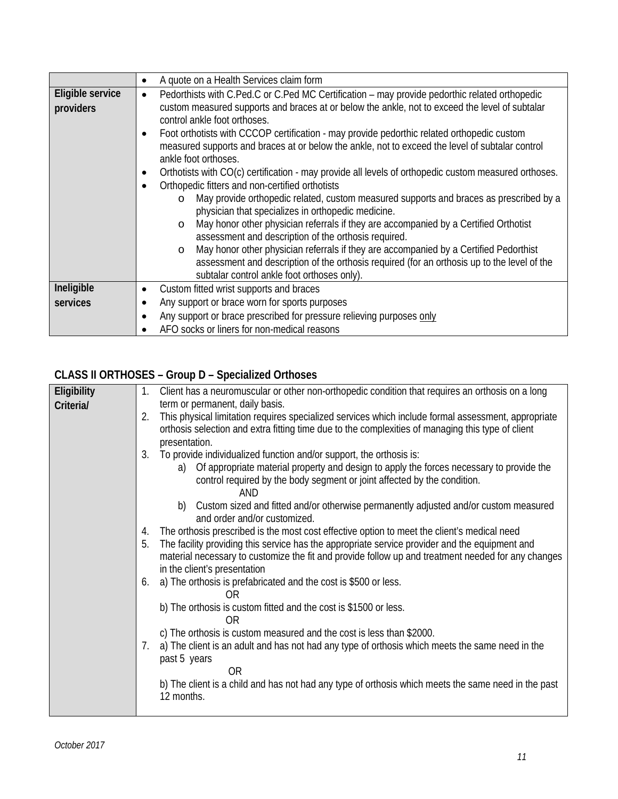|                  | A quote on a Health Services claim form                                                                    |
|------------------|------------------------------------------------------------------------------------------------------------|
| Eligible service | Pedorthists with C.Ped.C or C.Ped MC Certification - may provide pedorthic related orthopedic<br>$\bullet$ |
| providers        | custom measured supports and braces at or below the ankle, not to exceed the level of subtalar             |
|                  | control ankle foot orthoses.                                                                               |
|                  | Foot orthotists with CCCOP certification - may provide pedorthic related orthopedic custom                 |
|                  | measured supports and braces at or below the ankle, not to exceed the level of subtalar control            |
|                  | ankle foot orthoses.                                                                                       |
|                  | Orthotists with CO(c) certification - may provide all levels of orthopedic custom measured orthoses.       |
|                  | Orthopedic fitters and non-certified orthotists                                                            |
|                  | May provide orthopedic related, custom measured supports and braces as prescribed by a<br>$\circ$          |
|                  | physician that specializes in orthopedic medicine.                                                         |
|                  | May honor other physician referrals if they are accompanied by a Certified Orthotist<br>$\circ$            |
|                  | assessment and description of the orthosis required.                                                       |
|                  | May honor other physician referrals if they are accompanied by a Certified Pedorthist<br>$\circ$           |
|                  | assessment and description of the orthosis required (for an orthosis up to the level of the                |
|                  | subtalar control ankle foot orthoses only).                                                                |
| Ineligible       | Custom fitted wrist supports and braces<br>٠                                                               |
| services         | Any support or brace worn for sports purposes                                                              |
|                  | Any support or brace prescribed for pressure relieving purposes only                                       |
|                  | AFO socks or liners for non-medical reasons                                                                |

# **CLASS II ORTHOSES – Group D – Specialized Orthoses**

| Eligibility | 1. | Client has a neuromuscular or other non-orthopedic condition that requires an orthosis on a long                                                                                                                                     |
|-------------|----|--------------------------------------------------------------------------------------------------------------------------------------------------------------------------------------------------------------------------------------|
| Criteria/   |    | term or permanent, daily basis.                                                                                                                                                                                                      |
|             | 2. | This physical limitation requires specialized services which include formal assessment, appropriate                                                                                                                                  |
|             |    | orthosis selection and extra fitting time due to the complexities of managing this type of client                                                                                                                                    |
|             |    | presentation.                                                                                                                                                                                                                        |
|             | 3. | To provide individualized function and/or support, the orthosis is:                                                                                                                                                                  |
|             |    | a) Of appropriate material property and design to apply the forces necessary to provide the<br>control required by the body segment or joint affected by the condition.<br>AND                                                       |
|             |    | b) Custom sized and fitted and/or otherwise permanently adjusted and/or custom measured<br>and order and/or customized.                                                                                                              |
|             | 4. | The orthosis prescribed is the most cost effective option to meet the client's medical need                                                                                                                                          |
|             | 5. | The facility providing this service has the appropriate service provider and the equipment and<br>material necessary to customize the fit and provide follow up and treatment needed for any changes<br>in the client's presentation |
|             | 6. | a) The orthosis is prefabricated and the cost is \$500 or less.<br>ΩR                                                                                                                                                                |
|             |    | b) The orthosis is custom fitted and the cost is \$1500 or less.<br>0R                                                                                                                                                               |
|             |    | c) The orthosis is custom measured and the cost is less than \$2000.                                                                                                                                                                 |
|             | 7. | a) The client is an adult and has not had any type of orthosis which meets the same need in the                                                                                                                                      |
|             |    | past 5 years                                                                                                                                                                                                                         |
|             |    | 0R                                                                                                                                                                                                                                   |
|             |    | b) The client is a child and has not had any type of orthosis which meets the same need in the past<br>12 months.                                                                                                                    |
|             |    |                                                                                                                                                                                                                                      |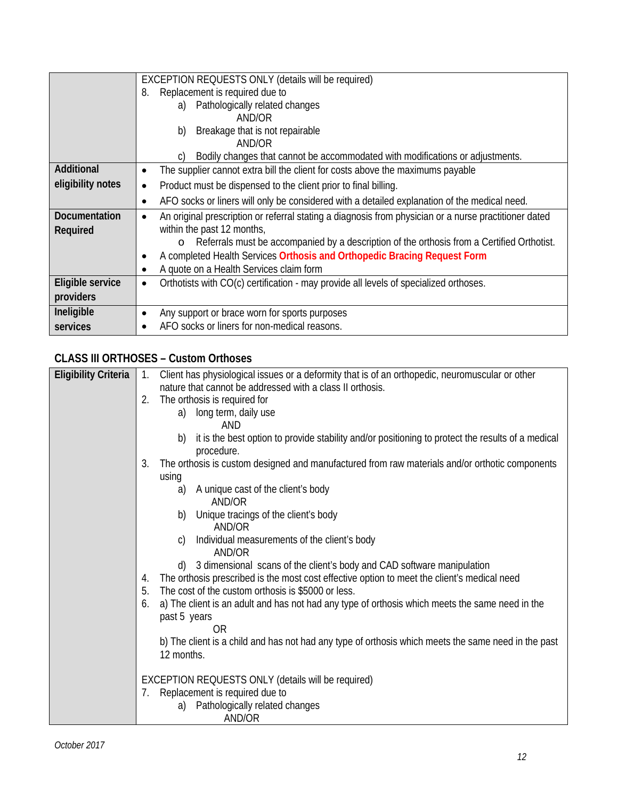|                      | EXCEPTION REQUESTS ONLY (details will be required)                                                     |
|----------------------|--------------------------------------------------------------------------------------------------------|
|                      | Replacement is required due to<br>8.                                                                   |
|                      | Pathologically related changes<br>a)                                                                   |
|                      | AND/OR                                                                                                 |
|                      | Breakage that is not repairable<br>b)                                                                  |
|                      | AND/OR                                                                                                 |
|                      | Bodily changes that cannot be accommodated with modifications or adjustments.<br>C)                    |
| Additional           | The supplier cannot extra bill the client for costs above the maximums payable                         |
| eligibility notes    | Product must be dispensed to the client prior to final billing.<br>$\bullet$                           |
|                      | AFO socks or liners will only be considered with a detailed explanation of the medical need.           |
| <b>Documentation</b> | An original prescription or referral stating a diagnosis from physician or a nurse practitioner dated  |
| Required             | within the past 12 months,                                                                             |
|                      | Referrals must be accompanied by a description of the orthosis from a Certified Orthotist.<br>$\Omega$ |
|                      | A completed Health Services Orthosis and Orthopedic Bracing Request Form                               |
|                      | A quote on a Health Services claim form                                                                |
| Eligible service     | Orthotists with CO(c) certification - may provide all levels of specialized orthoses.<br>$\bullet$     |
| providers            |                                                                                                        |
| Ineligible           | Any support or brace worn for sports purposes                                                          |
| services             | AFO socks or liners for non-medical reasons.                                                           |

## **CLASS III ORTHOSES – Custom Orthoses**

| <b>Eligibility Criteria</b> | $\mathbf{1}$ . | Client has physiological issues or a deformity that is of an orthopedic, neuromuscular or other         |
|-----------------------------|----------------|---------------------------------------------------------------------------------------------------------|
|                             |                | nature that cannot be addressed with a class II orthosis.                                               |
|                             | 2.             | The orthosis is required for                                                                            |
|                             |                | a) long term, daily use                                                                                 |
|                             |                | AND                                                                                                     |
|                             |                | it is the best option to provide stability and/or positioning to protect the results of a medical<br>b) |
|                             |                | procedure.                                                                                              |
|                             | 3.             | The orthosis is custom designed and manufactured from raw materials and/or orthotic components          |
|                             |                | using                                                                                                   |
|                             |                | A unique cast of the client's body<br>a)                                                                |
|                             |                | AND/OR                                                                                                  |
|                             |                | Unique tracings of the client's body<br>b)                                                              |
|                             |                | AND/OR                                                                                                  |
|                             |                | Individual measurements of the client's body<br>C)<br>AND/OR                                            |
|                             |                | d) 3 dimensional scans of the client's body and CAD software manipulation                               |
|                             | 4.             | The orthosis prescribed is the most cost effective option to meet the client's medical need             |
|                             | 5.             | The cost of the custom orthosis is \$5000 or less.                                                      |
|                             | 6.             | a) The client is an adult and has not had any type of orthosis which meets the same need in the         |
|                             |                | past 5 years                                                                                            |
|                             |                | 0 <sub>R</sub>                                                                                          |
|                             |                | b) The client is a child and has not had any type of orthosis which meets the same need in the past     |
|                             |                | 12 months.                                                                                              |
|                             |                |                                                                                                         |
|                             |                | EXCEPTION REQUESTS ONLY (details will be required)                                                      |
|                             | 7.             | Replacement is required due to                                                                          |
|                             |                | Pathologically related changes<br>a)                                                                    |
|                             |                | AND/OR                                                                                                  |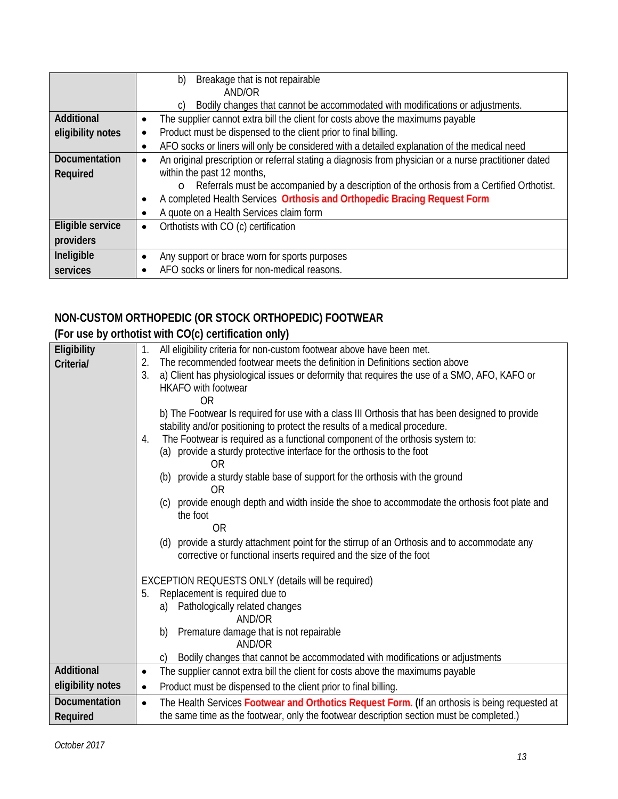|                      | Breakage that is not repairable<br>b)                                                                              |
|----------------------|--------------------------------------------------------------------------------------------------------------------|
|                      | AND/OR                                                                                                             |
|                      | Bodily changes that cannot be accommodated with modifications or adjustments.<br>C)                                |
| Additional           | The supplier cannot extra bill the client for costs above the maximums payable                                     |
| eligibility notes    | Product must be dispensed to the client prior to final billing.<br>$\bullet$                                       |
|                      | AFO socks or liners will only be considered with a detailed explanation of the medical need                        |
| <b>Documentation</b> | An original prescription or referral stating a diagnosis from physician or a nurse practitioner dated<br>$\bullet$ |
| Required             | within the past 12 months,                                                                                         |
|                      | Referrals must be accompanied by a description of the orthosis from a Certified Orthotist.<br>$\circ$              |
|                      | A completed Health Services Orthosis and Orthopedic Bracing Request Form                                           |
|                      | A quote on a Health Services claim form                                                                            |
| Eligible service     | Orthotists with CO (c) certification<br>$\bullet$                                                                  |
| providers            |                                                                                                                    |
| Ineligible           | Any support or brace worn for sports purposes                                                                      |
| services             | AFO socks or liners for non-medical reasons.                                                                       |

# **NON-CUSTOM ORTHOPEDIC (OR STOCK ORTHOPEDIC) FOOTWEAR**

# **(For use by orthotist with CO(c) certification only)**

| Eligibility       | All eligibility criteria for non-custom footwear above have been met.<br>$\mathbf{1}$ .                     |
|-------------------|-------------------------------------------------------------------------------------------------------------|
| Criteria/         | The recommended footwear meets the definition in Definitions section above<br>2.                            |
|                   | 3.<br>a) Client has physiological issues or deformity that requires the use of a SMO, AFO, KAFO or          |
|                   | <b>HKAFO</b> with footwear                                                                                  |
|                   | 0R                                                                                                          |
|                   | b) The Footwear Is required for use with a class III Orthosis that has been designed to provide             |
|                   | stability and/or positioning to protect the results of a medical procedure.                                 |
|                   | The Footwear is required as a functional component of the orthosis system to:<br>4.                         |
|                   | (a) provide a sturdy protective interface for the orthosis to the foot                                      |
|                   | 0R                                                                                                          |
|                   | (b) provide a sturdy stable base of support for the orthosis with the ground                                |
|                   | <b>OR</b>                                                                                                   |
|                   | provide enough depth and width inside the shoe to accommodate the orthosis foot plate and<br>(C)            |
|                   | the foot                                                                                                    |
|                   | <b>OR</b>                                                                                                   |
|                   | (d) provide a sturdy attachment point for the stirrup of an Orthosis and to accommodate any                 |
|                   | corrective or functional inserts required and the size of the foot                                          |
|                   |                                                                                                             |
|                   | EXCEPTION REQUESTS ONLY (details will be required)                                                          |
|                   | Replacement is required due to<br>5.                                                                        |
|                   | a) Pathologically related changes                                                                           |
|                   | AND/OR                                                                                                      |
|                   | Premature damage that is not repairable<br>b)<br>AND/OR                                                     |
|                   |                                                                                                             |
| Additional        | Bodily changes that cannot be accommodated with modifications or adjustments<br>$\mathsf{C}$                |
|                   | The supplier cannot extra bill the client for costs above the maximums payable<br>$\bullet$                 |
| eligibility notes | Product must be dispensed to the client prior to final billing.<br>$\bullet$                                |
| Documentation     | The Health Services Footwear and Orthotics Request Form. (If an orthosis is being requested at<br>$\bullet$ |
| Required          | the same time as the footwear, only the footwear description section must be completed.)                    |